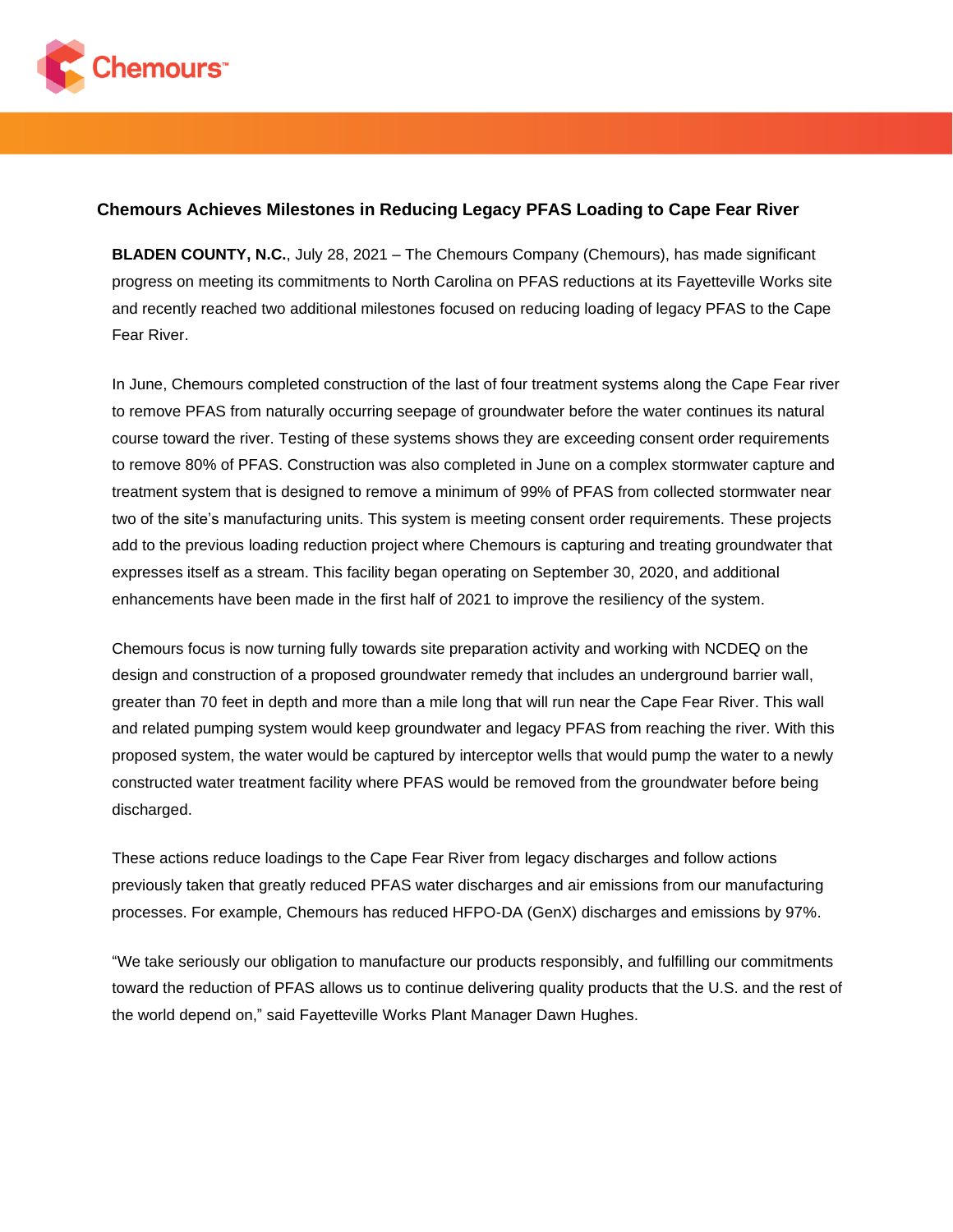

## **Chemours Achieves Milestones in Reducing Legacy PFAS Loading to Cape Fear River**

**BLADEN COUNTY, N.C.**, July 28, 2021 – The Chemours Company (Chemours), has made significant progress on meeting its commitments to North Carolina on PFAS reductions at its Fayetteville Works site and recently reached two additional milestones focused on reducing loading of legacy PFAS to the Cape Fear River.

In June, Chemours completed construction of the last of four treatment systems along the Cape Fear river to remove PFAS from naturally occurring seepage of groundwater before the water continues its natural course toward the river. Testing of these systems shows they are exceeding consent order requirements to remove 80% of PFAS. Construction was also completed in June on a complex stormwater capture and treatment system that is designed to remove a minimum of 99% of PFAS from collected stormwater near two of the site's manufacturing units. This system is meeting consent order requirements. These projects add to the previous loading reduction project where Chemours is capturing and treating groundwater that expresses itself as a stream. This facility began operating on September 30, 2020, and additional enhancements have been made in the first half of 2021 to improve the resiliency of the system.

Chemours focus is now turning fully towards site preparation activity and working with NCDEQ on the design and construction of a proposed groundwater remedy that includes an underground barrier wall, greater than 70 feet in depth and more than a mile long that will run near the Cape Fear River. This wall and related pumping system would keep groundwater and legacy PFAS from reaching the river. With this proposed system, the water would be captured by interceptor wells that would pump the water to a newly constructed water treatment facility where PFAS would be removed from the groundwater before being discharged.

These actions reduce loadings to the Cape Fear River from legacy discharges and follow actions previously taken that greatly reduced PFAS water discharges and air emissions from our manufacturing processes. For example, Chemours has reduced HFPO-DA (GenX) discharges and emissions by 97%.

"We take seriously our obligation to manufacture our products responsibly, and fulfilling our commitments toward the reduction of PFAS allows us to continue delivering quality products that the U.S. and the rest of the world depend on," said Fayetteville Works Plant Manager Dawn Hughes.